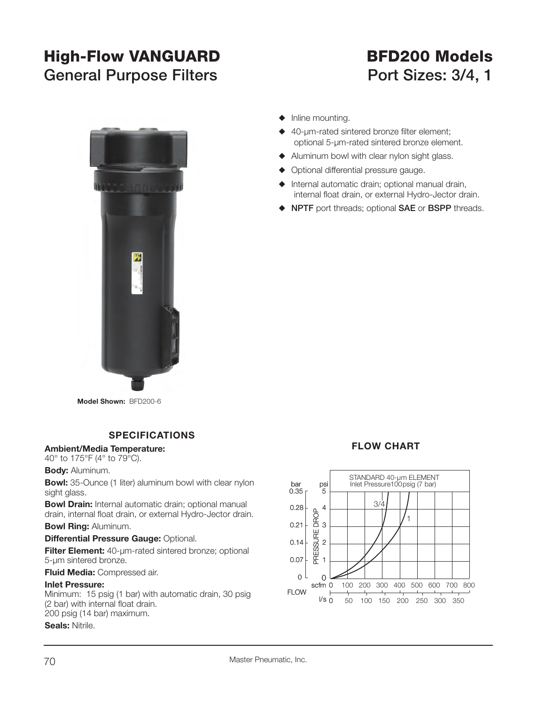### **High-Flow VANGUARD BFD200 Models** General Purpose Filters **Port Sizes: 3/4, 1**



- $\blacklozenge$  Inline mounting.
- $\triangle$  40-µm-rated sintered bronze filter element; optional 5-µm-rated sintered bronze element.
- $\blacklozenge$  Aluminum bowl with clear nylon sight glass.
- $\blacklozenge$  Optional differential pressure gauge.
- $\blacklozenge$  Internal automatic drain; optional manual drain, internal float drain, or external Hydro-Jector drain.
- S **NPTF** port threads; optional **SAE** or **BSPP** threads.

**Model Shown:** BFD200-6

### **SPECIFICATIONS**

### **Ambient/Media Temperature:**

40° to 175°F (4° to 79°C).

**Body:** Aluminum.

**Bowl:** 35-Ounce (1 liter) aluminum bowl with clear nylon sight glass.

**Bowl Drain:** Internal automatic drain; optional manual drain, internal float drain, or external Hydro-Jector drain.

**Bowl Ring:** Aluminum.

**Differential Pressure Gauge: Optional.** 

**Filter Element:** 40-um-rated sintered bronze; optional 5-µm sintered bronze.

**Fluid Media:** Compressed air.

### **Inlet Pressure:**

Minimum: 15 psig (1 bar) with automatic drain, 30 psig (2 bar) with internal float drain. 200 psig (14 bar) maximum.

**Seals:** Nitrile.

### **FLOW CHART**

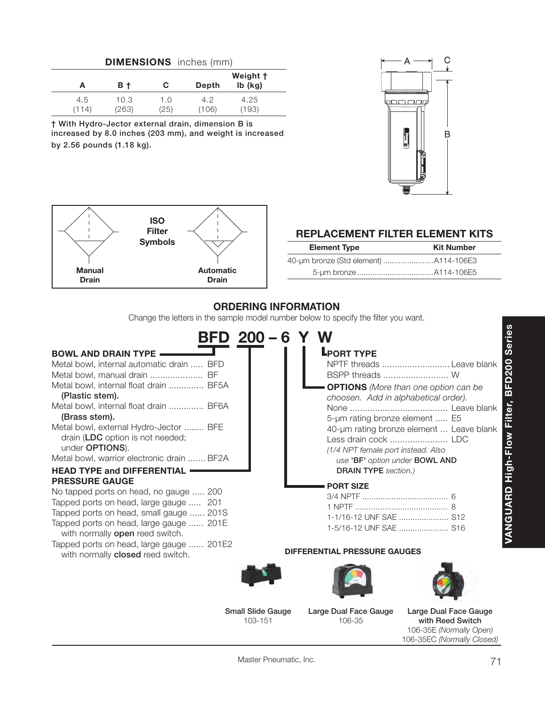| <b>DIMENSIONS</b> inches (mm) |              |               |             |              |                           |
|-------------------------------|--------------|---------------|-------------|--------------|---------------------------|
|                               | А            | B t           | С           | Depth        | Weight †<br>$Ib$ ( $kq$ ) |
|                               | 4.5<br>(114) | 10.3<br>(263) | 1.0<br>(25) | 4.2<br>(106) | 4.25<br>(193)             |

**† With Hydro-Jector external drain, dimension B is increased by 8.0 inches (203 mm), and weight is increased by 2.56 pounds (1.18 kg).**





### **REPLACEMENT FILTER ELEMENT KITS**

| <b>Element Type</b>                   | <b>Kit Number</b> |
|---------------------------------------|-------------------|
| 40-um bronze (Std element) A114-106E3 |                   |
|                                       |                   |

### **ORDERING INFORMATION**

Change the letters in the sample model number below to specify the filter you want.

| $BFD 200 - 6$                                                                                                                                                                                                                                                                                                                                                                                                       | <b>Series</b>                                                                                                                                                                                                                                                                                                                                                                                                      |
|---------------------------------------------------------------------------------------------------------------------------------------------------------------------------------------------------------------------------------------------------------------------------------------------------------------------------------------------------------------------------------------------------------------------|--------------------------------------------------------------------------------------------------------------------------------------------------------------------------------------------------------------------------------------------------------------------------------------------------------------------------------------------------------------------------------------------------------------------|
| <b>BOWL AND DRAIN TYPE</b><br>Metal bowl, internal automatic drain  BFD<br>Metal bowl, manual drain  BF<br>Metal bowl, internal float drain  BF5A<br>(Plastic stem).<br>Metal bowl, internal float drain  BF6A<br>(Brass stem).<br>Metal bowl, external Hydro-Jector  BFE<br>drain (LDC option is not needed;<br>under OPTIONS).<br>Metal bowl, warrior electronic drain  BF2A<br><b>HEAD TYPE and DIFFERENTIAL</b> | <b>L</b> PORT TYPE<br><b>D200</b><br>NPTF threads  Leave blank<br>BSPP threads  W<br><b>OPTIONS</b> (More than one option can be<br>靣<br>choosen. Add in alphabetical order).<br>Filter,<br>5-um rating bronze element  E5<br>40-um rating bronze element  Leave blank<br>High-Flow<br>Less drain cock  LDC<br>(1/4 NPT female port instead. Also<br>use 'BF' option under BOWL AND<br><b>DRAIN TYPE</b> section.) |
| <b>PRESSURE GAUGE</b><br>No tapped ports on head, no gauge  200<br>Tapped ports on head, large gauge  201<br>Tapped ports on head, small gauge  201S<br>Tapped ports on head, large gauge  201E<br>with normally open reed switch.<br>Tapped ports on head, large gauge  201E2<br>with normally closed reed switch.                                                                                                 | <b>PORT SIZE</b><br><b>ANGUARD</b><br>1-1/16-12 UNF SAE  S12<br>1-5/16-12 UNF SAE  S16<br><b>DIFFERENTIAL PRESSURE GAUGES</b>                                                                                                                                                                                                                                                                                      |
|                                                                                                                                                                                                                                                                                                                                                                                                                     |                                                                                                                                                                                                                                                                                                                                                                                                                    |

**Small Slide Gauge** 103-151

**Large Dual Face Gauge** 106-35

**Large Dual Face Gauge with Reed Switch**106-35E *(Normally Open)* 106-35EC *(Normally Closed)*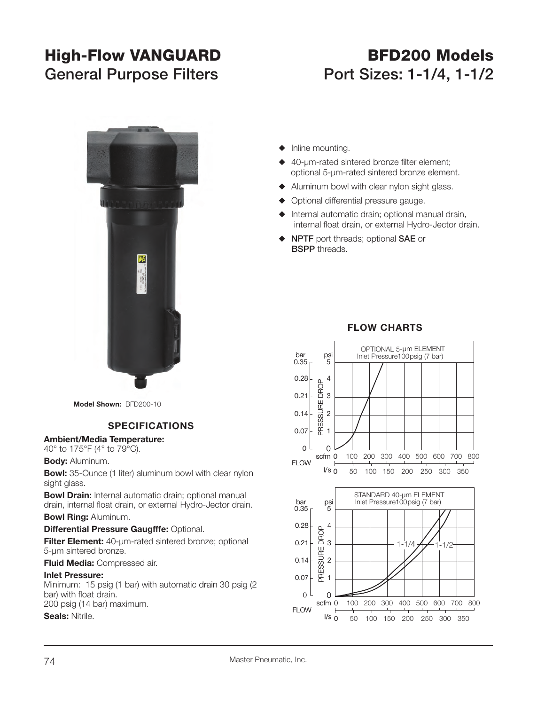## **High-Flow VANGUARD BFD200 Models**

# **General Purpose Filters Port Sizes: 1-1/4, 1-1/2**



**Model Shown:** BFD200-10

### **SPECIFICATIONS**

**Ambient/Media Temperature:**

40° to 175°F (4° to 79°C).

**Body:** Aluminum.

**Bowl:** 35-Ounce (1 liter) aluminum bowl with clear nylon sight glass.

**Bowl Drain:** Internal automatic drain; optional manual drain, internal float drain, or external Hydro-Jector drain.

### **Bowl Ring:** Aluminum.

### **Differential Pressure Gaugfffe: Optional.**

**Filter Element:** 40-µm-rated sintered bronze; optional 5-µm sintered bronze.

**Fluid Media:** Compressed air.

#### **Inlet Pressure:**

Minimum: 15 psig (1 bar) with automatic drain 30 psig (2 bar) with float drain. 200 psig (14 bar) maximum.

### **Seals:** Nitrile.

- $\blacklozenge$  Inline mounting.
- $\triangle$  40-um-rated sintered bronze filter element: optional 5-µm-rated sintered bronze element.
- $\blacklozenge$  Aluminum bowl with clear nylon sight glass.
- $\blacklozenge$  Optional differential pressure gauge.
- $\blacklozenge$  Internal automatic drain; optional manual drain, internal float drain, or external Hydro-Jector drain.
- S **NPTF** port threads; optional **SAE** or **BSPP** threads.



### **FLOW CHARTS**